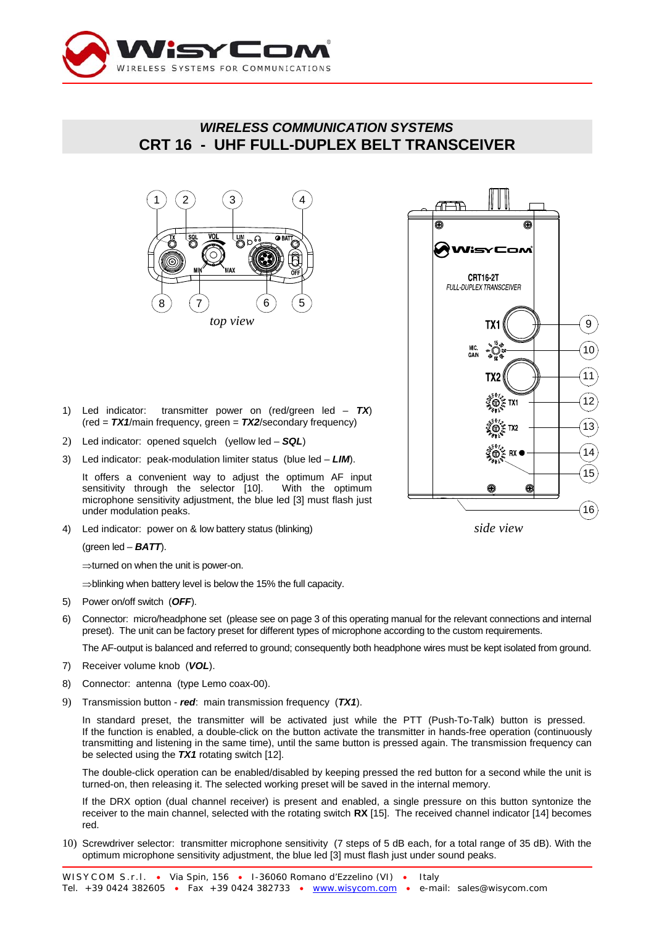

## *WIRELESS COMMUNICATION SYSTEMS* **CRT 16 - UHF FULL-DUPLEX BELT TRANSCEIVER**





- 1) Led indicator: transmitter power on (red/green led *TX*) (red = *TX1*/main frequency, green = *TX2*/secondary frequency)
- 2) Led indicator: opened squelch (yellow led *SQL*)
- 3) Led indicator: peak-modulation limiter status (blue led *LIM*).

It offers a convenient way to adjust the optimum AF input sensitivity through the selector [10]. With the optimum microphone sensitivity adjustment, the blue led [3] must flash just under modulation peaks.

4) Led indicator: power on & low battery status (blinking)

(green led – *BATT*).

⇒turned on when the unit is power-on.

⇒blinking when battery level is below the 15% the full capacity.

- 5) Power on/off switch (*OFF*).
- 6) Connector: micro/headphone set (please see on page 3 of this operating manual for the relevant connections and internal preset). The unit can be factory preset for different types of microphone according to the custom requirements.

The AF-output is balanced and referred to ground; consequently both headphone wires must be kept isolated from ground.

- 7) Receiver volume knob (*VOL*).
- 8) Connector: antenna (type Lemo coax-00).
- 9) Transmission button *red*: main transmission frequency (*TX1*).

In standard preset, the transmitter will be activated just while the PTT (Push-To-Talk) button is pressed. If the function is enabled, a double-click on the button activate the transmitter in hands-free operation (continuously transmitting and listening in the same time), until the same button is pressed again. The transmission frequency can be selected using the *TX1* rotating switch [12].

The double-click operation can be enabled/disabled by keeping pressed the red button for a second while the unit is turned-on, then releasing it. The selected working preset will be saved in the internal memory.

If the DRX option (dual channel receiver) is present and enabled, a single pressure on this button syntonize the receiver to the main channel, selected with the rotating switch **RX** [15]. The received channel indicator [14] becomes red.

10) Screwdriver selector: transmitter microphone sensitivity (7 steps of 5 dB each, for a total range of 35 dB). With the optimum microphone sensitivity adjustment, the blue led [3] must flash just under sound peaks.

*side view*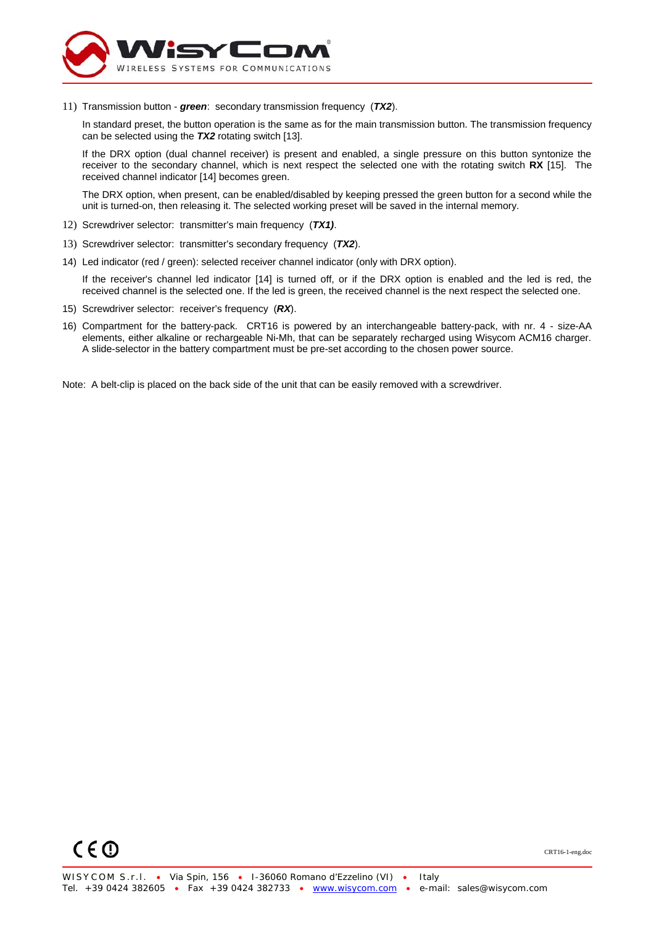

11) Transmission button - *green*: secondary transmission frequency (*TX2*).

In standard preset, the button operation is the same as for the main transmission button. The transmission frequency can be selected using the *TX2* rotating switch [13].

If the DRX option (dual channel receiver) is present and enabled, a single pressure on this button syntonize the receiver to the secondary channel, which is next respect the selected one with the rotating switch **RX** [15]. The received channel indicator [14] becomes green.

The DRX option, when present, can be enabled/disabled by keeping pressed the green button for a second while the unit is turned-on, then releasing it. The selected working preset will be saved in the internal memory.

- 12) Screwdriver selector: transmitter's main frequency (*TX1)*.
- 13) Screwdriver selector: transmitter's secondary frequency (*TX2*).
- 14) Led indicator (red / green): selected receiver channel indicator (only with DRX option).

If the receiver's channel led indicator [14] is turned off, or if the DRX option is enabled and the led is red, the received channel is the selected one. If the led is green, the received channel is the next respect the selected one.

- 15) Screwdriver selector: receiver's frequency (*RX*).
- 16) Compartment for the battery-pack. CRT16 is powered by an interchangeable battery-pack, with nr. 4 size-AA elements, either alkaline or rechargeable Ni-Mh, that can be separately recharged using Wisycom ACM16 charger. A slide-selector in the battery compartment must be pre-set according to the chosen power source.

Note: A belt-clip is placed on the back side of the unit that can be easily removed with a screwdriver.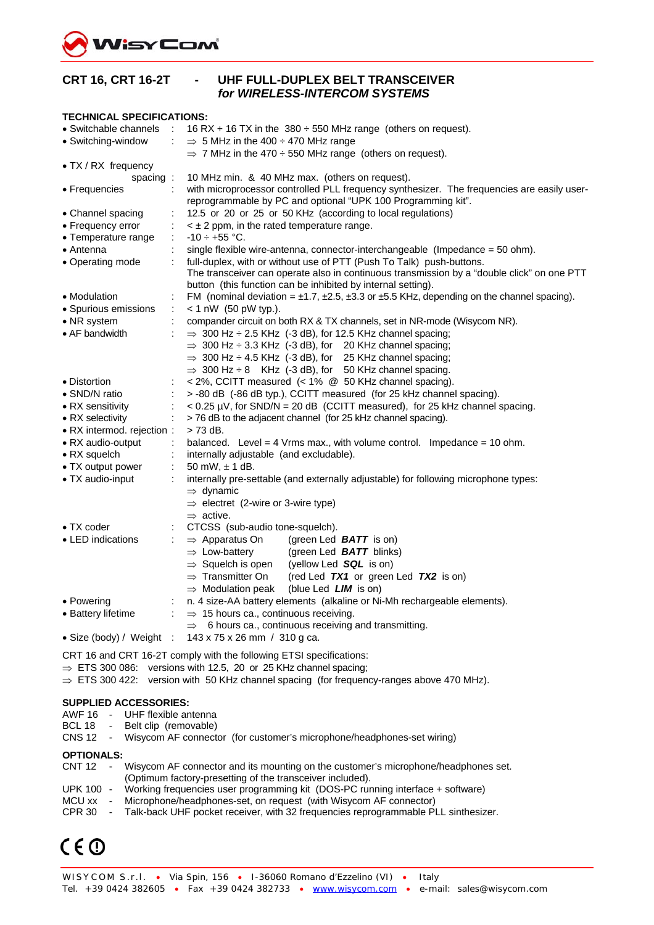

| <b>CRT 16, CRT 16-2T</b>                                                                                                                            | UHF FULL-DUPLEX BELT TRANSCEIVER<br>for WIRELESS-INTERCOM SYSTEMS                                                                                          |  |  |  |  |
|-----------------------------------------------------------------------------------------------------------------------------------------------------|------------------------------------------------------------------------------------------------------------------------------------------------------------|--|--|--|--|
| <b>TECHNICAL SPECIFICATIONS:</b>                                                                                                                    |                                                                                                                                                            |  |  |  |  |
| • Switchable channels<br><b>COL</b>                                                                                                                 | 16 RX + 16 TX in the $380 \div 550$ MHz range (others on request).                                                                                         |  |  |  |  |
| • Switching-window                                                                                                                                  | $\Rightarrow$ 5 MHz in the 400 $\div$ 470 MHz range                                                                                                        |  |  |  |  |
|                                                                                                                                                     | $\Rightarrow$ 7 MHz in the 470 $\div$ 550 MHz range (others on request).                                                                                   |  |  |  |  |
| • TX / RX frequency                                                                                                                                 |                                                                                                                                                            |  |  |  |  |
| spacing:                                                                                                                                            | 10 MHz min. & 40 MHz max. (others on request).                                                                                                             |  |  |  |  |
| • Frequencies                                                                                                                                       | with microprocessor controlled PLL frequency synthesizer. The frequencies are easily user-<br>reprogrammable by PC and optional "UPK 100 Programming kit". |  |  |  |  |
| • Channel spacing                                                                                                                                   | 12.5 or 20 or 25 or 50 KHz (according to local regulations)                                                                                                |  |  |  |  |
| • Frequency error                                                                                                                                   | $\leq$ $\pm$ 2 ppm, in the rated temperature range.                                                                                                        |  |  |  |  |
| • Temperature range                                                                                                                                 | $-10 \div +55$ °C.                                                                                                                                         |  |  |  |  |
| • Antenna                                                                                                                                           | single flexible wire-antenna, connector-interchangeable (Impedance = $50$ ohm).                                                                            |  |  |  |  |
| • Operating mode                                                                                                                                    | full-duplex, with or without use of PTT (Push To Talk) push-buttons.                                                                                       |  |  |  |  |
|                                                                                                                                                     | The transceiver can operate also in continuous transmission by a "double click" on one PTT                                                                 |  |  |  |  |
|                                                                                                                                                     | button (this function can be inhibited by internal setting).                                                                                               |  |  |  |  |
| • Modulation                                                                                                                                        | FM (nominal deviation = $\pm$ 1.7, $\pm$ 2.5, $\pm$ 3.3 or $\pm$ 5.5 KHz, depending on the channel spacing).                                               |  |  |  |  |
| • Spurious emissions<br>÷                                                                                                                           | $< 1$ nW (50 pW typ.).                                                                                                                                     |  |  |  |  |
| • NR system                                                                                                                                         | compander circuit on both RX & TX channels, set in NR-mode (Wisycom NR).                                                                                   |  |  |  |  |
| • AF bandwidth                                                                                                                                      | $\Rightarrow$ 300 Hz $\div$ 2.5 KHz (-3 dB), for 12.5 KHz channel spacing;                                                                                 |  |  |  |  |
|                                                                                                                                                     | $\Rightarrow$ 300 Hz $\div$ 3.3 KHz (-3 dB), for 20 KHz channel spacing;                                                                                   |  |  |  |  |
|                                                                                                                                                     | $\Rightarrow$ 300 Hz $\div$ 4.5 KHz (-3 dB), for 25 KHz channel spacing;                                                                                   |  |  |  |  |
|                                                                                                                                                     | $\Rightarrow$ 300 Hz $\div$ 8 KHz (-3 dB), for 50 KHz channel spacing.                                                                                     |  |  |  |  |
| • Distortion                                                                                                                                        | < 2%, CCITT measured (< 1% @ 50 KHz channel spacing).                                                                                                      |  |  |  |  |
| > -80 dB (-86 dB typ.), CCITT measured (for 25 kHz channel spacing).<br>• SND/N ratio                                                               |                                                                                                                                                            |  |  |  |  |
| • RX sensitivity                                                                                                                                    | $<$ 0.25 µV, for SND/N = 20 dB (CCITT measured), for 25 kHz channel spacing.                                                                               |  |  |  |  |
| • RX selectivity                                                                                                                                    | > 76 dB to the adjacent channel (for 25 kHz channel spacing).                                                                                              |  |  |  |  |
| • RX intermod. rejection :                                                                                                                          | $> 73$ dB.                                                                                                                                                 |  |  |  |  |
| • RX audio-output                                                                                                                                   | balanced. Level = $4$ Vrms max., with volume control. Impedance = $10$ ohm.                                                                                |  |  |  |  |
| $\bullet$ RX squelch                                                                                                                                | internally adjustable (and excludable).                                                                                                                    |  |  |  |  |
| • TX output power                                                                                                                                   | 50 mW, $\pm$ 1 dB.                                                                                                                                         |  |  |  |  |
| • TX audio-input                                                                                                                                    | internally pre-settable (and externally adjustable) for following microphone types:<br>$\Rightarrow$ dynamic                                               |  |  |  |  |
|                                                                                                                                                     | $\Rightarrow$ electret (2-wire or 3-wire type)                                                                                                             |  |  |  |  |
|                                                                                                                                                     | $\Rightarrow$ active.                                                                                                                                      |  |  |  |  |
| $\bullet$ TX coder                                                                                                                                  | CTCSS (sub-audio tone-squelch).                                                                                                                            |  |  |  |  |
| • LED indications                                                                                                                                   | $\Rightarrow$ Apparatus On<br>(green Led <b>BATT</b> is on)                                                                                                |  |  |  |  |
|                                                                                                                                                     | $\Rightarrow$ Low-battery<br>(green Led <b>BATT</b> blinks)                                                                                                |  |  |  |  |
|                                                                                                                                                     | $\Rightarrow$ Squelch is open<br>(yellow Led SQL is on)                                                                                                    |  |  |  |  |
|                                                                                                                                                     | $\Rightarrow$ Transmitter On<br>(red Led TX1 or green Led TX2 is on)                                                                                       |  |  |  |  |
|                                                                                                                                                     | $\Rightarrow$ Modulation peak<br>(blue Led <i>LIM</i> is on)                                                                                               |  |  |  |  |
| • Powering                                                                                                                                          | n. 4 size-AA battery elements (alkaline or Ni-Mh rechargeable elements).                                                                                   |  |  |  |  |
| • Battery lifetime                                                                                                                                  | $\Rightarrow$ 15 hours ca., continuous receiving.                                                                                                          |  |  |  |  |
|                                                                                                                                                     | 6 hours ca., continuous receiving and transmitting.<br>$\Rightarrow$                                                                                       |  |  |  |  |
| 143 x 75 x 26 mm / 310 g ca.<br>• Size (body) / Weight :                                                                                            |                                                                                                                                                            |  |  |  |  |
|                                                                                                                                                     |                                                                                                                                                            |  |  |  |  |
| CRT 16 and CRT 16-2T comply with the following ETSI specifications:<br>$\Rightarrow$ ETS 300 086: versions with 12.5, 20 or 25 KHz channel spacing; |                                                                                                                                                            |  |  |  |  |

### ⇒ ETS 300 422: version with 50 KHz channel spacing (for frequency-ranges above 470 MHz).

#### **SUPPLIED ACCESSORIES:**

AWF 16 - UHF flexible antenna

- BCL 18 Belt clip (removable)
- CNS 12 Wisycom AF connector (for customer's microphone/headphones-set wiring)

### **OPTIONALS:**

| CNT 12  | $\sim$ | Wisycom AF connector and its mounting on the customer's microphone/headphones set. |
|---------|--------|------------------------------------------------------------------------------------|
|         |        | (Optimum factory-presetting of the transceiver included).                          |
| UPK 100 |        | Working frequencies user programming kit (DOS-PC running interface + software)     |
| MCU xx  | $\sim$ | Microphone/headphones-set, on request (with Wisycom AF connector)                  |
| $\sim$  |        |                                                                                    |

CPR 30 - Talk-back UHF pocket receiver, with 32 frequencies reprogrammable PLL sinthesizer.

# $C \in \mathbb{O}$